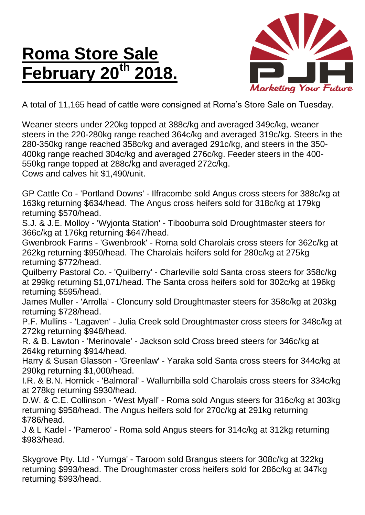## **Roma Store Sale February 20th 2018.**



A total of 11,165 head of cattle were consigned at Roma's Store Sale on Tuesday.

Weaner steers under 220kg topped at 388c/kg and averaged 349c/kg, weaner steers in the 220-280kg range reached 364c/kg and averaged 319c/kg. Steers in the 280-350kg range reached 358c/kg and averaged 291c/kg, and steers in the 350- 400kg range reached 304c/kg and averaged 276c/kg. Feeder steers in the 400- 550kg range topped at 288c/kg and averaged 272c/kg. Cows and calves hit \$1,490/unit.

GP Cattle Co - 'Portland Downs' - Ilfracombe sold Angus cross steers for 388c/kg at 163kg returning \$634/head. The Angus cross heifers sold for 318c/kg at 179kg returning \$570/head.

S.J. & J.E. Molloy - 'Wyjonta Station' - Tibooburra sold Droughtmaster steers for 366c/kg at 176kg returning \$647/head.

Gwenbrook Farms - 'Gwenbrook' - Roma sold Charolais cross steers for 362c/kg at 262kg returning \$950/head. The Charolais heifers sold for 280c/kg at 275kg returning \$772/head.

Quilberry Pastoral Co. - 'Quilberry' - Charleville sold Santa cross steers for 358c/kg at 299kg returning \$1,071/head. The Santa cross heifers sold for 302c/kg at 196kg returning \$595/head.

James Muller - 'Arrolla' - Cloncurry sold Droughtmaster steers for 358c/kg at 203kg returning \$728/head.

P.F. Mullins - 'Lagaven' - Julia Creek sold Droughtmaster cross steers for 348c/kg at 272kg returning \$948/head.

R. & B. Lawton - 'Merinovale' - Jackson sold Cross breed steers for 346c/kg at 264kg returning \$914/head.

Harry & Susan Glasson - 'Greenlaw' - Yaraka sold Santa cross steers for 344c/kg at 290kg returning \$1,000/head.

I.R. & B.N. Hornick - 'Balmoral' - Wallumbilla sold Charolais cross steers for 334c/kg at 278kg returning \$930/head.

D.W. & C.E. Collinson - 'West Myall' - Roma sold Angus steers for 316c/kg at 303kg returning \$958/head. The Angus heifers sold for 270c/kg at 291kg returning \$786/head.

J & L Kadel - 'Pameroo' - Roma sold Angus steers for 314c/kg at 312kg returning \$983/head.

Skygrove Pty. Ltd - 'Yurnga' - Taroom sold Brangus steers for 308c/kg at 322kg returning \$993/head. The Droughtmaster cross heifers sold for 286c/kg at 347kg returning \$993/head.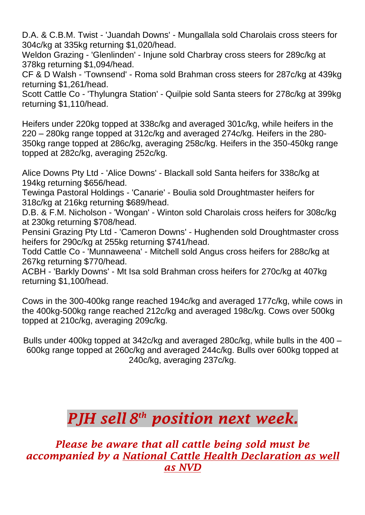D.A. & C.B.M. Twist - 'Juandah Downs' - Mungallala sold Charolais cross steers for 304c/kg at 335kg returning \$1,020/head.

Weldon Grazing - 'Glenlinden' - Injune sold Charbray cross steers for 289c/kg at 378kg returning \$1,094/head.

CF & D Walsh - 'Townsend' - Roma sold Brahman cross steers for 287c/kg at 439kg returning \$1,261/head.

Scott Cattle Co - 'Thylungra Station' - Quilpie sold Santa steers for 278c/kg at 399kg returning \$1,110/head.

Heifers under 220kg topped at 338c/kg and averaged 301c/kg, while heifers in the 220 – 280kg range topped at 312c/kg and averaged 274c/kg. Heifers in the 280- 350kg range topped at 286c/kg, averaging 258c/kg. Heifers in the 350-450kg range topped at 282c/kg, averaging 252c/kg.

Alice Downs Pty Ltd - 'Alice Downs' - Blackall sold Santa heifers for 338c/kg at 194kg returning \$656/head.

Tewinga Pastoral Holdings - 'Canarie' - Boulia sold Droughtmaster heifers for 318c/kg at 216kg returning \$689/head.

D.B. & F.M. Nicholson - 'Wongan' - Winton sold Charolais cross heifers for 308c/kg at 230kg returning \$708/head.

Pensini Grazing Pty Ltd - 'Cameron Downs' - Hughenden sold Droughtmaster cross heifers for 290c/kg at 255kg returning \$741/head.

Todd Cattle Co - 'Munnaweena' - Mitchell sold Angus cross heifers for 288c/kg at 267kg returning \$770/head.

ACBH - 'Barkly Downs' - Mt Isa sold Brahman cross heifers for 270c/kg at 407kg returning \$1,100/head.

Cows in the 300-400kg range reached 194c/kg and averaged 177c/kg, while cows in the 400kg-500kg range reached 212c/kg and averaged 198c/kg. Cows over 500kg topped at 210c/kg, averaging 209c/kg.

Bulls under 400kg topped at 342c/kg and averaged 280c/kg, while bulls in the 400 – 600kg range topped at 260c/kg and averaged 244c/kg. Bulls over 600kg topped at 240c/kg, averaging 237c/kg.

## *PJH sell 8 th position next week.*

*Please be aware that all cattle being sold must be accompanied by a National Cattle Health Declaration as well as NVD*